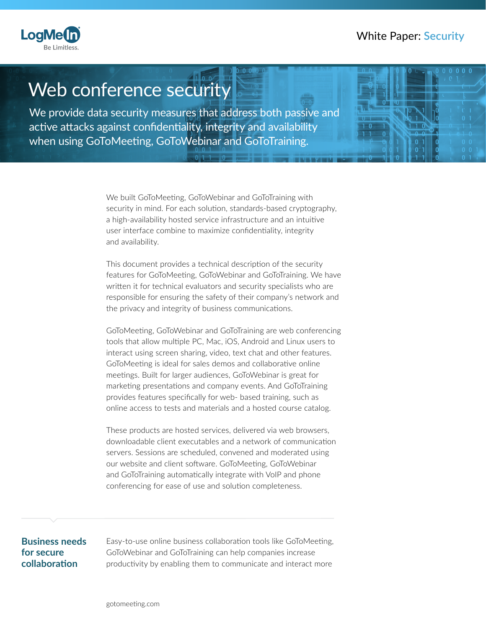# White Paper: **Security**



# $\sqrt{100}$ Web conference security

We provide data security measures that address both passive and active attacks against confidentiality, integrity and availability when using GoToMeeting, GoToWebinar and GoToTraining.

> We built GoToMeeting, GoToWebinar and GoToTraining with security in mind. For each solution, standards-based cryptography, a high-availability hosted service infrastructure and an intuitive user interface combine to maximize confidentiality, integrity and availability.

This document provides a technical description of the security features for GoToMeeting, GoToWebinar and GoToTraining. We have written it for technical evaluators and security specialists who are responsible for ensuring the safety of their company's network and the privacy and integrity of business communications.

GoToMeeting, GoToWebinar and GoToTraining are web conferencing tools that allow multiple PC, Mac, iOS, Android and Linux users to interact using screen sharing, video, text chat and other features. GoToMeeting is ideal for sales demos and collaborative online meetings. Built for larger audiences, GoToWebinar is great for marketing presentations and company events. And GoToTraining provides features specifically for web- based training, such as online access to tests and materials and a hosted course catalog.

These products are hosted services, delivered via web browsers, downloadable client executables and a network of communication servers. Sessions are scheduled, convened and moderated using our website and client software. GoToMeeting, GoToWebinar and GoToTraining automatically integrate with VoIP and phone conferencing for ease of use and solution completeness.

#### **Business needs for secure collaboration**

Easy-to-use online business collaboration tools like GoToMeeting, GoToWebinar and GoToTraining can help companies increase productivity by enabling them to communicate and interact more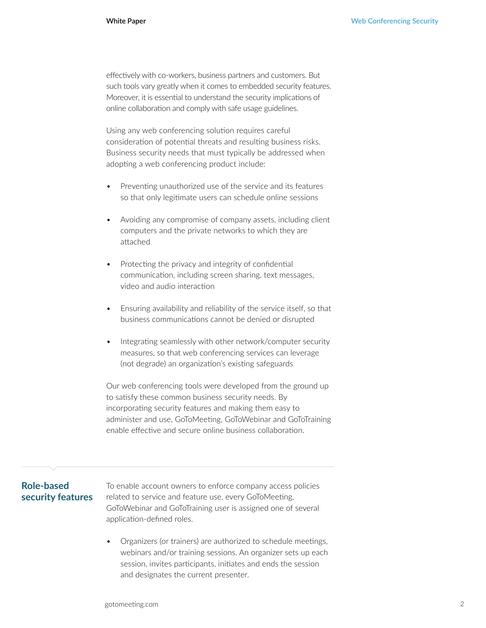effectively with co-workers, business partners and customers. But such tools vary greatly when it comes to embedded security features. Moreover, it is essential to understand the security implications of online collaboration and comply with safe usage guidelines.

Using any web conferencing solution requires careful consideration of potential threats and resulting business risks. Business security needs that must typically be addressed when adopting a web conferencing product include:

- Preventing unauthorized use of the service and its features so that only legitimate users can schedule online sessions
- Avoiding any compromise of company assets, including client computers and the private networks to which they are attached
- Protecting the privacy and integrity of confidential communication, including screen sharing, text messages, video and audio interaction
- Ensuring availability and reliability of the service itself, so that business communications cannot be denied or disrupted
- Integrating seamlessly with other network/computer security measures, so that web conferencing services can leverage (not degrade) an organization's existing safeguards

Our web conferencing tools were developed from the ground up to satisfy these common business security needs. By incorporating security features and making them easy to administer and use, GoToMeeting, GoToWebinar and GoToTraining enable effective and secure online business collaboration.

## **Role-based security features**

To enable account owners to enforce company access policies related to service and feature use, every GoToMeeting, GoToWebinar and GoToTraining user is assigned one of several application-defined roles.

• Organizers (or trainers) are authorized to schedule meetings, webinars and/or training sessions. An organizer sets up each session, invites participants, initiates and ends the session and designates the current presenter.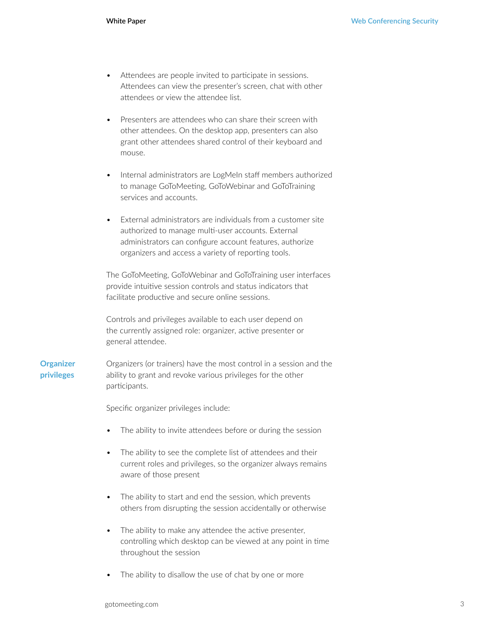- Attendees are people invited to participate in sessions. Attendees can view the presenter's screen, chat with other attendees or view the attendee list.
- Presenters are attendees who can share their screen with other attendees. On the desktop app, presenters can also grant other attendees shared control of their keyboard and mouse.
- Internal administrators are LogMeIn staff members authorized to manage GoToMeeting, GoToWebinar and GoToTraining services and accounts.
- External administrators are individuals from a customer site authorized to manage multi-user accounts. External administrators can configure account features, authorize organizers and access a variety of reporting tools.

The GoToMeeting, GoToWebinar and GoToTraining user interfaces provide intuitive session controls and status indicators that facilitate productive and secure online sessions.

Controls and privileges available to each user depend on the currently assigned role: organizer, active presenter or general attendee.

**Organizer privileges** Organizers (or trainers) have the most control in a session and the ability to grant and revoke various privileges for the other participants.

Specific organizer privileges include:

- The ability to invite attendees before or during the session
- The ability to see the complete list of attendees and their current roles and privileges, so the organizer always remains aware of those present
- The ability to start and end the session, which prevents others from disrupting the session accidentally or otherwise
- The ability to make any attendee the active presenter, controlling which desktop can be viewed at any point in time throughout the session
- The ability to disallow the use of chat by one or more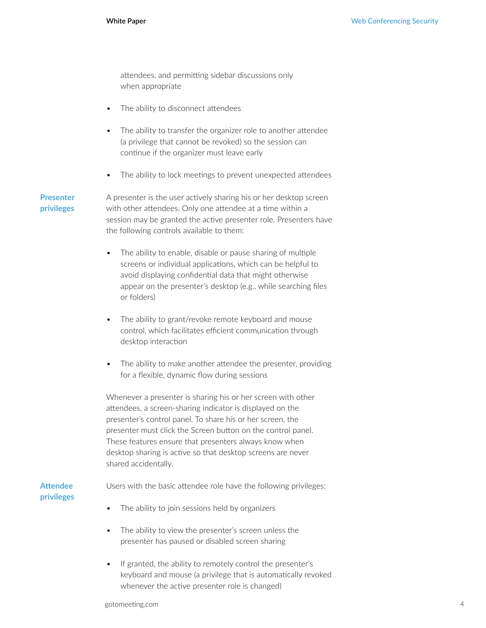attendees, and permitting sidebar discussions only when appropriate

- The ability to disconnect attendees
- The ability to transfer the organizer role to another attendee (a privilege that cannot be revoked) so the session can continue if the organizer must leave early
- The ability to lock meetings to prevent unexpected attendees

**Presenter privileges**

A presenter is the user actively sharing his or her desktop screen with other attendees. Only one attendee at a time within a session may be granted the active presenter role. Presenters have the following controls available to them:

- The ability to enable, disable or pause sharing of multiple screens or individual applications, which can be helpful to avoid displaying confidential data that might otherwise appear on the presenter's desktop (e.g., while searching files or folders)
- The ability to grant/revoke remote keyboard and mouse control, which facilitates efficient communication through desktop interaction
- The ability to make another attendee the presenter, providing for a flexible, dynamic flow during sessions

Whenever a presenter is sharing his or her screen with other attendees, a screen-sharing indicator is displayed on the presenter's control panel. To share his or her screen, the presenter must click the Screen button on the control panel. These features ensure that presenters always know when desktop sharing is active so that desktop screens are never shared accidentally.

## **Attendee privileges**

Users with the basic attendee role have the following privileges:

- The ability to join sessions held by organizers
- The ability to view the presenter's screen unless the presenter has paused or disabled screen sharing
- If granted, the ability to remotely control the presenter's keyboard and mouse (a privilege that is automatically revoked whenever the active presenter role is changed)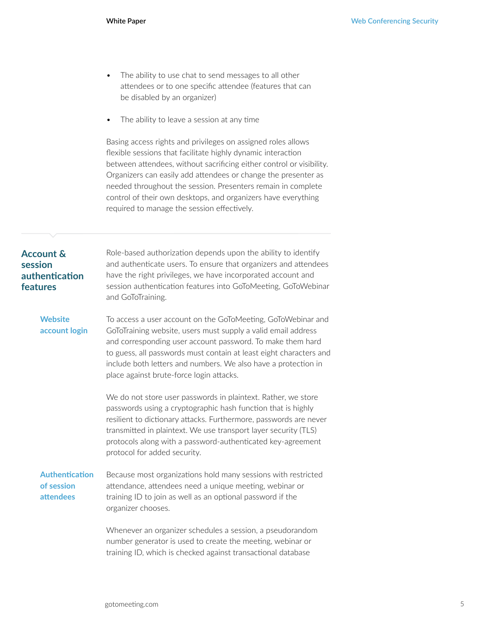- The ability to use chat to send messages to all other attendees or to one specific attendee (features that can be disabled by an organizer)
- The ability to leave a session at any time

Basing access rights and privileges on assigned roles allows flexible sessions that facilitate highly dynamic interaction between attendees, without sacrificing either control or visibility. Organizers can easily add attendees or change the presenter as needed throughout the session. Presenters remain in complete control of their own desktops, and organizers have everything required to manage the session effectively.

| <b>Account &amp;</b><br>session<br>authentication<br>features | Role-based authorization depends upon the ability to identify<br>and authenticate users. To ensure that organizers and attendees<br>have the right privileges, we have incorporated account and<br>session authentication features into GoToMeeting, GoToWebinar<br>and GoToTraining.                                                                                           |
|---------------------------------------------------------------|---------------------------------------------------------------------------------------------------------------------------------------------------------------------------------------------------------------------------------------------------------------------------------------------------------------------------------------------------------------------------------|
| <b>Website</b><br>account login                               | To access a user account on the GoToMeeting, GoToWebinar and<br>GoToTraining website, users must supply a valid email address<br>and corresponding user account password. To make them hard<br>to guess, all passwords must contain at least eight characters and<br>include both letters and numbers. We also have a protection in<br>place against brute-force login attacks. |
|                                                               | We do not store user passwords in plaintext. Rather, we store<br>passwords using a cryptographic hash function that is highly<br>resilient to dictionary attacks. Furthermore, passwords are never<br>transmitted in plaintext. We use transport layer security (TLS)<br>protocols along with a password-authenticated key-agreement<br>protocol for added security.            |
| <b>Authentication</b><br>of session<br>attendees              | Because most organizations hold many sessions with restricted<br>attendance, attendees need a unique meeting, webinar or<br>training ID to join as well as an optional password if the<br>organizer chooses.                                                                                                                                                                    |
|                                                               | Whenever an organizer schedules a session, a pseudorandom<br>number generator is used to create the meeting, webinar or<br>training ID, which is checked against transactional database                                                                                                                                                                                         |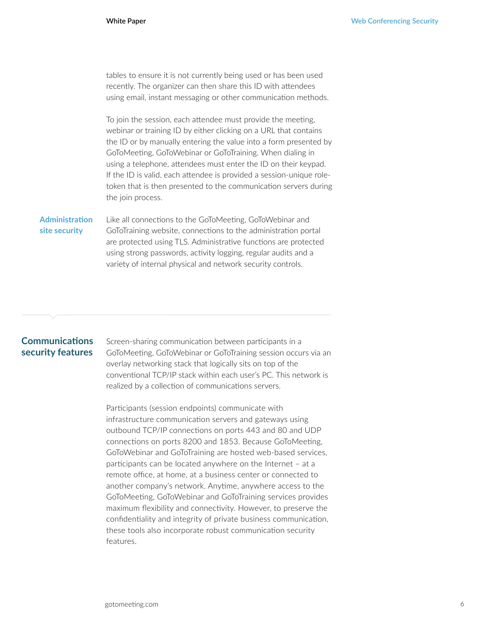tables to ensure it is not currently being used or has been used recently. The organizer can then share this ID with attendees using email, instant messaging or other communication methods.

To join the session, each attendee must provide the meeting, webinar or training ID by either clicking on a URL that contains the ID or by manually entering the value into a form presented by GoToMeeting, GoToWebinar or GoToTraining. When dialing in using a telephone, attendees must enter the ID on their keypad. If the ID is valid, each attendee is provided a session-unique roletoken that is then presented to the communication servers during the join process.

#### Like all connections to the GoToMeeting, GoToWebinar and GoToTraining website, connections to the administration portal **Administration site security**

are protected using TLS. Administrative functions are protected using strong passwords, activity logging, regular audits and a variety of internal physical and network security controls.

# **Communications security features**

Screen-sharing communication between participants in a GoToMeeting, GoToWebinar or GoToTraining session occurs via an overlay networking stack that logically sits on top of the conventional TCP/IP stack within each user's PC. This network is realized by a collection of communications servers.

Participants (session endpoints) communicate with infrastructure communication servers and gateways using outbound TCP/IP connections on ports 443 and 80 and UDP connections on ports 8200 and 1853. Because GoToMeeting, GoToWebinar and GoToTraining are hosted web-based services, participants can be located anywhere on the Internet – at a remote office, at home, at a business center or connected to another company's network. Anytime, anywhere access to the GoToMeeting, GoToWebinar and GoToTraining services provides maximum flexibility and connectivity. However, to preserve the confidentiality and integrity of private business communication, these tools also incorporate robust communication security features.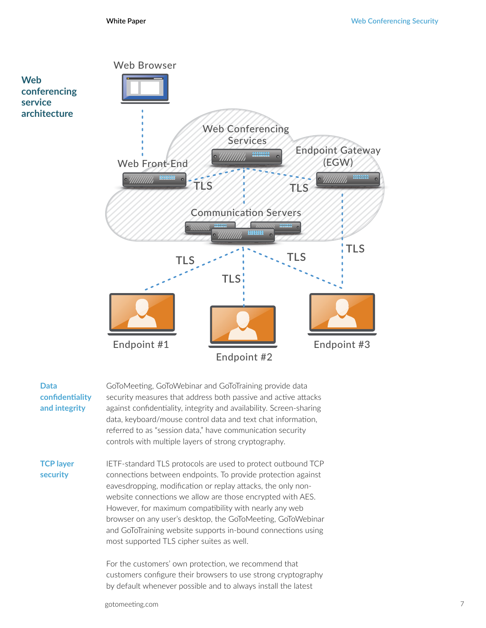

| Data            | GoTc  |
|-----------------|-------|
| confidentiality | secul |
| and integrity   | agair |
|                 | data. |
|                 | refer |
|                 |       |

Meeting, GoToWebinar and GoToTraining provide data rity measures that address both passive and active attacks nst confidentiality, integrity and availability. Screen-sharing keyboard/mouse control data and text chat information, red to as "session data," have communication security controls with multiple layers of strong cryptography.

**TCP layer security**

IETF-standard TLS protocols are used to protect outbound TCP connections between endpoints. To provide protection against eavesdropping, modification or replay attacks, the only nonwebsite connections we allow are those encrypted with AES. However, for maximum compatibility with nearly any web browser on any user's desktop, the GoToMeeting, GoToWebinar and GoToTraining website supports in-bound connections using most supported TLS cipher suites as well.

For the customers' own protection, we recommend that customers configure their browsers to use strong cryptography by default whenever possible and to always install the latest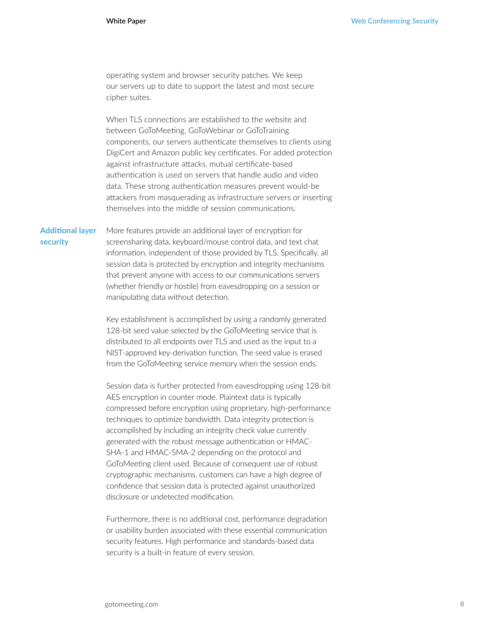operating system and browser security patches. We keep our servers up to date to support the latest and most secure cipher suites.

When TLS connections are established to the website and between GoToMeeting, GoToWebinar or GoToTraining components, our servers authenticate themselves to clients using DigiCert and Amazon public key certificates. For added protection against infrastructure attacks, mutual certificate-based authentication is used on servers that handle audio and video data. These strong authentication measures prevent would-be attackers from masquerading as infrastructure servers or inserting themselves into the middle of session communications.

More features provide an additional layer of encryption for screensharing data, keyboard/mouse control data, and text chat information, independent of those provided by TLS. Specifically, all session data is protected by encryption and integrity mechanisms that prevent anyone with access to our communications servers (whether friendly or hostile) from eavesdropping on a session or manipulating data without detection. **Additional layer security**

> Key establishment is accomplished by using a randomly generated 128-bit seed value selected by the GoToMeeting service that is distributed to all endpoints over TLS and used as the input to a NIST-approved key-derivation function. The seed value is erased from the GoToMeeting service memory when the session ends.

Session data is further protected from eavesdropping using 128-bit AES encryption in counter mode. Plaintext data is typically compressed before encryption using proprietary, high-performance techniques to optimize bandwidth. Data integrity protection is accomplished by including an integrity check value currently generated with the robust message authentication or HMAC-SHA-1 and HMAC-SMA-2 depending on the protocol and GoToMeeting client used. Because of consequent use of robust cryptographic mechanisms, customers can have a high degree of confidence that session data is protected against unauthorized disclosure or undetected modification.

Furthermore, there is no additional cost, performance degradation or usability burden associated with these essential communication security features. High performance and standards-based data security is a built-in feature of every session.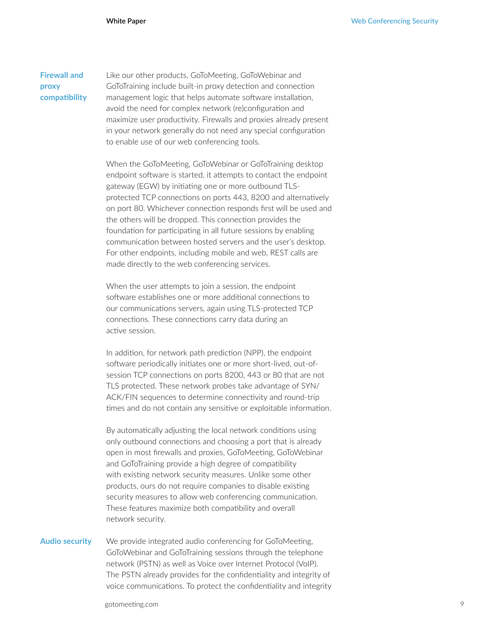**Firewall and proxy compatibility** Like our other products, GoToMeeting, GoToWebinar and GoToTraining include built-in proxy detection and connection management logic that helps automate software installation, avoid the need for complex network (re)configuration and maximize user productivity. Firewalls and proxies already present in your network generally do not need any special configuration to enable use of our web conferencing tools.

When the GoToMeeting, GoToWebinar or GoToTraining desktop endpoint software is started, it attempts to contact the endpoint gateway (EGW) by initiating one or more outbound TLSprotected TCP connections on ports 443, 8200 and alternatively on port 80. Whichever connection responds first will be used and the others will be dropped. This connection provides the foundation for participating in all future sessions by enabling communication between hosted servers and the user's desktop. For other endpoints, including mobile and web, REST calls are made directly to the web conferencing services.

When the user attempts to join a session, the endpoint software establishes one or more additional connections to our communications servers, again using TLS-protected TCP connections. These connections carry data during an active session.

In addition, for network path prediction (NPP), the endpoint software periodically initiates one or more short-lived, out-ofsession TCP connections on ports 8200, 443 or 80 that are not TLS protected. These network probes take advantage of SYN/ ACK/FIN sequences to determine connectivity and round-trip times and do not contain any sensitive or exploitable information.

By automatically adjusting the local network conditions using only outbound connections and choosing a port that is already open in most firewalls and proxies, GoToMeeting, GoToWebinar and GoToTraining provide a high degree of compatibility with existing network security measures. Unlike some other products, ours do not require companies to disable existing security measures to allow web conferencing communication. These features maximize both compatibility and overall network security.

#### **Audio security**

We provide integrated audio conferencing for GoToMeeting, GoToWebinar and GoToTraining sessions through the telephone network (PSTN) as well as Voice over Internet Protocol (VoIP). The PSTN already provides for the confidentiality and integrity of voice communications. To protect the confidentiality and integrity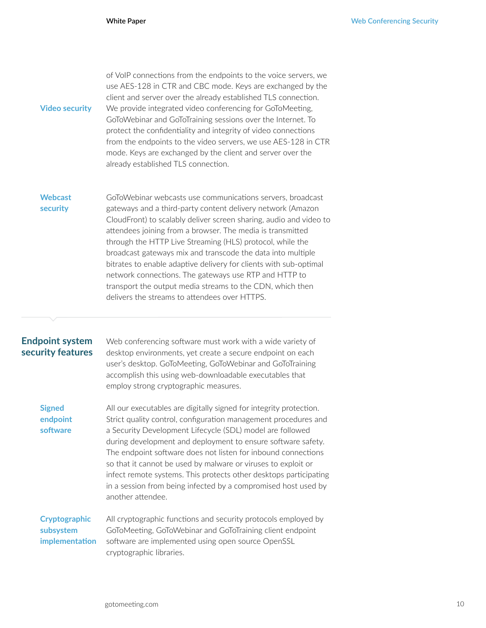| <b>Video security</b>                       | of VoIP connections from the endpoints to the voice servers, we<br>use AES-128 in CTR and CBC mode. Keys are exchanged by the<br>client and server over the already established TLS connection.<br>We provide integrated video conferencing for GoToMeeting,<br>GoToWebinar and GoToTraining sessions over the Internet. To<br>protect the confidentiality and integrity of video connections<br>from the endpoints to the video servers, we use AES-128 in CTR<br>mode. Keys are exchanged by the client and server over the<br>already established TLS connection.                                                                  |
|---------------------------------------------|---------------------------------------------------------------------------------------------------------------------------------------------------------------------------------------------------------------------------------------------------------------------------------------------------------------------------------------------------------------------------------------------------------------------------------------------------------------------------------------------------------------------------------------------------------------------------------------------------------------------------------------|
| <b>Webcast</b><br>security                  | GoToWebinar webcasts use communications servers, broadcast<br>gateways and a third-party content delivery network (Amazon<br>CloudFront) to scalably deliver screen sharing, audio and video to<br>attendees joining from a browser. The media is transmitted<br>through the HTTP Live Streaming (HLS) protocol, while the<br>broadcast gateways mix and transcode the data into multiple<br>bitrates to enable adaptive delivery for clients with sub-optimal<br>network connections. The gateways use RTP and HTTP to<br>transport the output media streams to the CDN, which then<br>delivers the streams to attendees over HTTPS. |
| <b>Endpoint system</b><br>security features | Web conferencing software must work with a wide variety of<br>desktop environments, yet create a secure endpoint on each<br>user's desktop. GoToMeeting, GoToWebinar and GoToTraining<br>accomplish this using web-downloadable executables that<br>employ strong cryptographic measures.                                                                                                                                                                                                                                                                                                                                             |
| <b>Signed</b><br>endpoint<br>software       | All our executables are digitally signed for integrity protection.<br>Strict quality control, configuration management procedures and<br>a Security Development Lifecycle (SDL) model are followed<br>during development and deployment to ensure software safety.<br>The endpoint software does not listen for inbound connections                                                                                                                                                                                                                                                                                                   |

All cryptographic functions and security protocols employed by GoToMeeting, GoToWebinar and GoToTraining client endpoint software are implemented using open source OpenSSL cryptographic libraries. **Cryptographic subsystem implementation**

so that it cannot be used by malware or viruses to exploit or infect remote systems. This protects other desktops participating in a session from being infected by a compromised host used by

another attendee.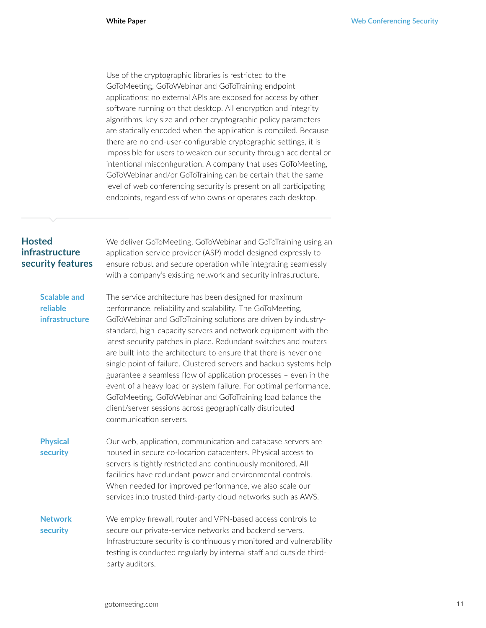Use of the cryptographic libraries is restricted to the GoToMeeting, GoToWebinar and GoToTraining endpoint applications; no external APIs are exposed for access by other software running on that desktop. All encryption and integrity algorithms, key size and other cryptographic policy parameters are statically encoded when the application is compiled. Because there are no end-user-configurable cryptographic settings, it is impossible for users to weaken our security through accidental or intentional misconfiguration. A company that uses GoToMeeting, GoToWebinar and/or GoToTraining can be certain that the same level of web conferencing security is present on all participating endpoints, regardless of who owns or operates each desktop.

### **Hosted infrastructure security features**

We deliver GoToMeeting, GoToWebinar and GoToTraining using an application service provider (ASP) model designed expressly to ensure robust and secure operation while integrating seamlessly with a company's existing network and security infrastructure.

#### **Scalable and reliable infrastructure**

The service architecture has been designed for maximum performance, reliability and scalability. The GoToMeeting, GoToWebinar and GoToTraining solutions are driven by industrystandard, high-capacity servers and network equipment with the latest security patches in place. Redundant switches and routers are built into the architecture to ensure that there is never one single point of failure. Clustered servers and backup systems help guarantee a seamless flow of application processes – even in the event of a heavy load or system failure. For optimal performance, GoToMeeting, GoToWebinar and GoToTraining load balance the client/server sessions across geographically distributed communication servers.

Our web, application, communication and database servers are housed in secure co-location datacenters. Physical access to servers is tightly restricted and continuously monitored. All facilities have redundant power and environmental controls. When needed for improved performance, we also scale our services into trusted third-party cloud networks such as AWS. **Physical security**

We employ firewall, router and VPN-based access controls to secure our private-service networks and backend servers. Infrastructure security is continuously monitored and vulnerability testing is conducted regularly by internal staff and outside thirdparty auditors. **Network security**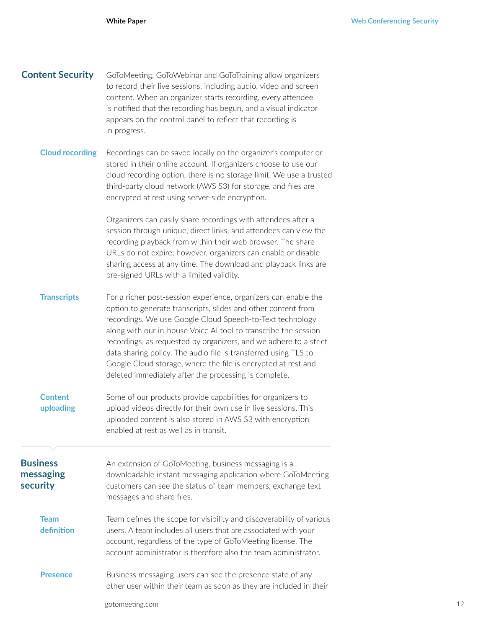| <b>Content Security</b>                  | GoToMeeting, GoToWebinar and GoToTraining allow organizers<br>to record their live sessions, including audio, video and screen<br>content. When an organizer starts recording, every attendee<br>is notified that the recording has begun, and a visual indicator<br>appears on the control panel to reflect that recording is<br>in progress.                                                                                                                                                                                     |
|------------------------------------------|------------------------------------------------------------------------------------------------------------------------------------------------------------------------------------------------------------------------------------------------------------------------------------------------------------------------------------------------------------------------------------------------------------------------------------------------------------------------------------------------------------------------------------|
| <b>Cloud recording</b>                   | Recordings can be saved locally on the organizer's computer or<br>stored in their online account. If organizers choose to use our<br>cloud recording option, there is no storage limit. We use a trusted<br>third-party cloud network (AWS S3) for storage, and files are<br>encrypted at rest using server-side encryption.                                                                                                                                                                                                       |
|                                          | Organizers can easily share recordings with attendees after a<br>session through unique, direct links, and attendees can view the<br>recording playback from within their web browser. The share<br>URLs do not expire; however, organizers can enable or disable<br>sharing access at any time. The download and playback links are<br>pre-signed URLs with a limited validity.                                                                                                                                                   |
| <b>Transcripts</b>                       | For a richer post-session experience, organizers can enable the<br>option to generate transcripts, slides and other content from<br>recordings. We use Google Cloud Speech-to-Text technology<br>along with our in-house Voice AI tool to transcribe the session<br>recordings, as requested by organizers, and we adhere to a strict<br>data sharing policy. The audio file is transferred using TLS to<br>Google Cloud storage, where the file is encrypted at rest and<br>deleted immediately after the processing is complete. |
| <b>Content</b><br>uploading              | Some of our products provide capabilities for organizers to<br>upload videos directly for their own use in live sessions. This<br>uploaded content is also stored in AWS S3 with encryption<br>enabled at rest as well as in transit.                                                                                                                                                                                                                                                                                              |
| <b>Business</b><br>messaging<br>security | An extension of GoToMeeting, business messaging is a<br>downloadable instant messaging application where GoToMeeting<br>customers can see the status of team members, exchange text<br>messages and share files.                                                                                                                                                                                                                                                                                                                   |
| <b>Team</b><br>definition                | Team defines the scope for visibility and discoverability of various<br>users. A team includes all users that are associated with your<br>account, regardless of the type of GoToMeeting license. The<br>account administrator is therefore also the team administrator.                                                                                                                                                                                                                                                           |
| <b>Presence</b>                          | Business messaging users can see the presence state of any<br>other user within their team as soon as they are included in their<br>gotomeeting.com                                                                                                                                                                                                                                                                                                                                                                                |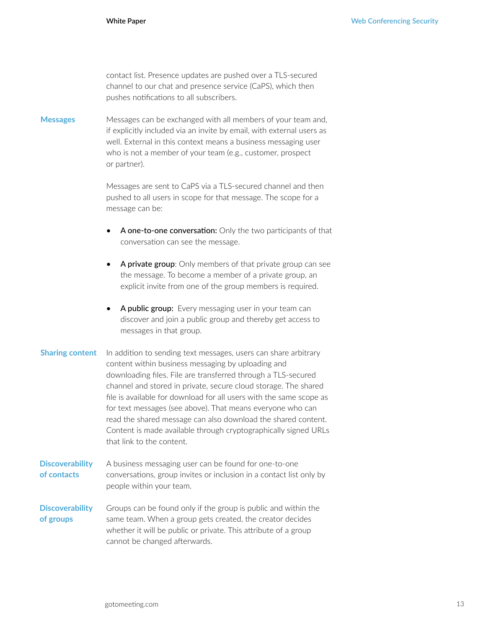contact list. Presence updates are pushed over a TLS-secured channel to our chat and presence service (CaPS), which then pushes notifications to all subscribers.

Messages can be exchanged with all members of your team and, if explicitly included via an invite by email, with external users as well. External in this context means a business messaging user who is not a member of your team (e.g., customer, prospect or partner). **Messages**

> Messages are sent to CaPS via a TLS-secured channel and then pushed to all users in scope for that message. The scope for a message can be:

- A one-to-one conversation: Only the two participants of that conversation can see the message.
- A private group: Only members of that private group can see the message. To become a member of a private group, an explicit invite from one of the group members is required.
- A public group: Every messaging user in your team can discover and join a public group and thereby get access to messages in that group.
- In addition to sending text messages, users can share arbitrary content within business messaging by uploading and downloading files. File are transferred through a TLS-secured channel and stored in private, secure cloud storage. The shared file is available for download for all users with the same scope as for text messages (see above). That means everyone who can read the shared message can also download the shared content. Content is made available through cryptographically signed URLs that link to the content. **Sharing content**
- A business messaging user can be found for one-to-one conversations, group invites or inclusion in a contact list only by people within your team. **Discoverability of contacts**
- Groups can be found only if the group is public and within the same team. When a group gets created, the creator decides whether it will be public or private. This attribute of a group cannot be changed afterwards. **Discoverability of groups**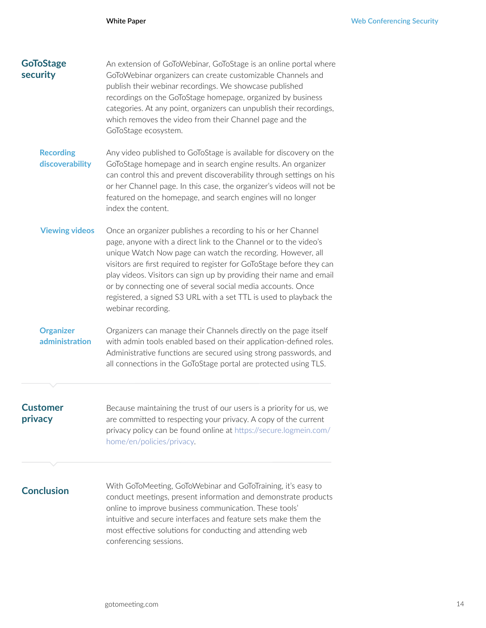| <b>GoToStage</b><br>security        | An extension of GoToWebinar, GoToStage is an online portal where<br>GoToWebinar organizers can create customizable Channels and<br>publish their webinar recordings. We showcase published<br>recordings on the GoToStage homepage, organized by business<br>categories. At any point, organizers can unpublish their recordings,<br>which removes the video from their Channel page and the<br>GoToStage ecosystem.                                                                                        |
|-------------------------------------|-------------------------------------------------------------------------------------------------------------------------------------------------------------------------------------------------------------------------------------------------------------------------------------------------------------------------------------------------------------------------------------------------------------------------------------------------------------------------------------------------------------|
| <b>Recording</b><br>discoverability | Any video published to GoToStage is available for discovery on the<br>GoToStage homepage and in search engine results. An organizer<br>can control this and prevent discoverability through settings on his<br>or her Channel page. In this case, the organizer's videos will not be<br>featured on the homepage, and search engines will no longer<br>index the content.                                                                                                                                   |
| <b>Viewing videos</b>               | Once an organizer publishes a recording to his or her Channel<br>page, anyone with a direct link to the Channel or to the video's<br>unique Watch Now page can watch the recording. However, all<br>visitors are first required to register for GoToStage before they can<br>play videos. Visitors can sign up by providing their name and email<br>or by connecting one of several social media accounts. Once<br>registered, a signed S3 URL with a set TTL is used to playback the<br>webinar recording. |
| <b>Organizer</b><br>administration  | Organizers can manage their Channels directly on the page itself<br>with admin tools enabled based on their application-defined roles.<br>Administrative functions are secured using strong passwords, and<br>all connections in the GoToStage portal are protected using TLS.                                                                                                                                                                                                                              |
| <b>Customer</b><br>privacy          | Because maintaining the trust of our users is a priority for us, we<br>are committed to respecting your privacy. A copy of the current<br>privacy policy can be found online at https://secure.logmein.com/<br>home/en/policies/privacy.                                                                                                                                                                                                                                                                    |
| <b>Conclusion</b>                   | With GoToMeeting, GoToWebinar and GoToTraining, it's easy to<br>conduct meetings, present information and demonstrate products<br>online to improve business communication. These tools'<br>intuitive and secure interfaces and feature sets make them the<br>most effective solutions for conducting and attending web<br>conferencing sessions.                                                                                                                                                           |